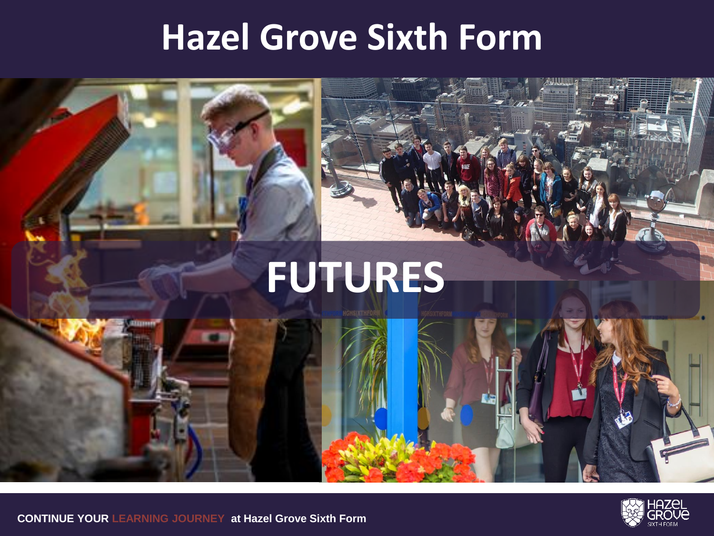#### **Hazel Grove Sixth Form**







**CONTINUE YOUR LEARNING JOURNEY at Hazel Grove Sixth Form**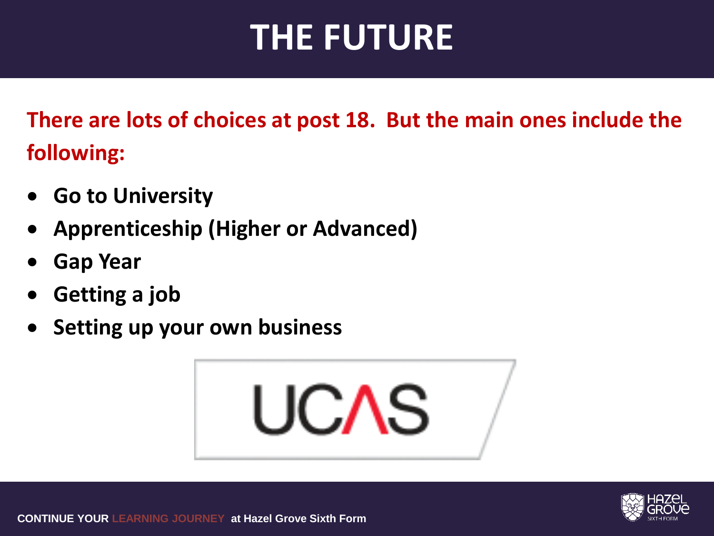### **THE FUTURE**

**There are lots of choices at post 18. But the main ones include the following:**

- **Go to University**
- **Apprenticeship (Higher or Advanced)**
- **Gap Year**
- **Getting a job**
- **Setting up your own business**



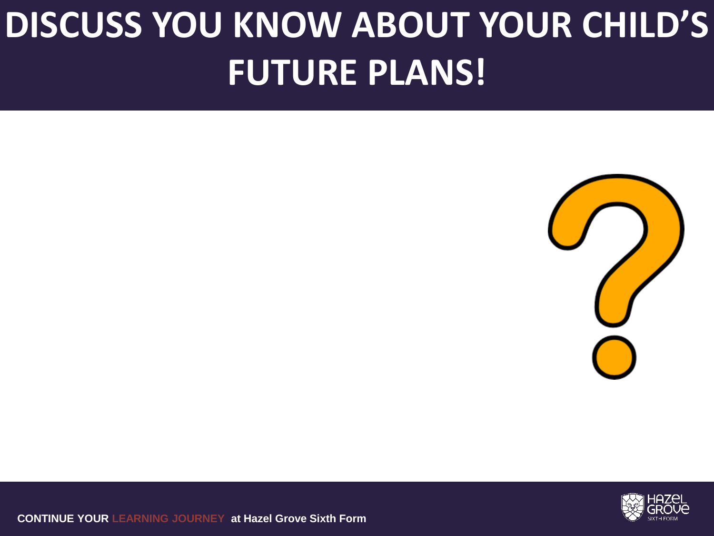## **DISCUSS YOU KNOW ABOUT YOUR CHILD'S FUTURE PLANS!**





**CONTINUE YOUR LEARNING JOURNEY at Hazel Grove Sixth Form**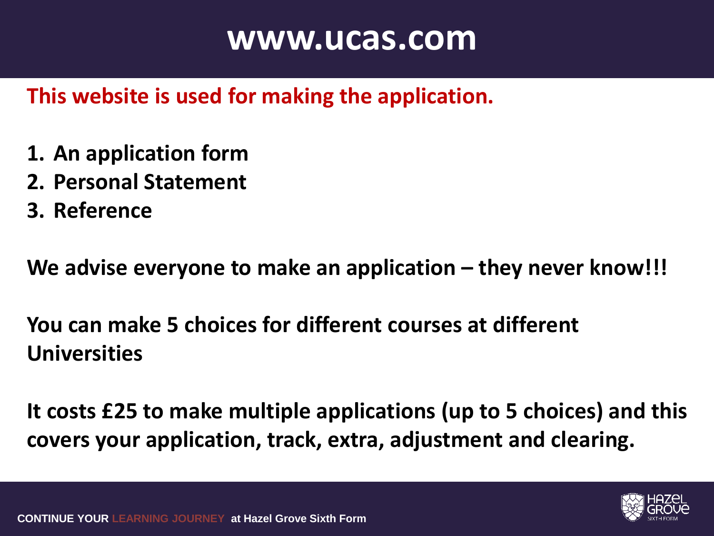#### **www.ucas.com**

#### **This website is used for making the application.**

- **1. An application form**
- **2. Personal Statement**
- **3. Reference**

**We advise everyone to make an application – they never know!!!**

**You can make 5 choices for different courses at different Universities**

**It costs £25 to make multiple applications (up to 5 choices) and this covers your application, track, extra, adjustment and clearing.**

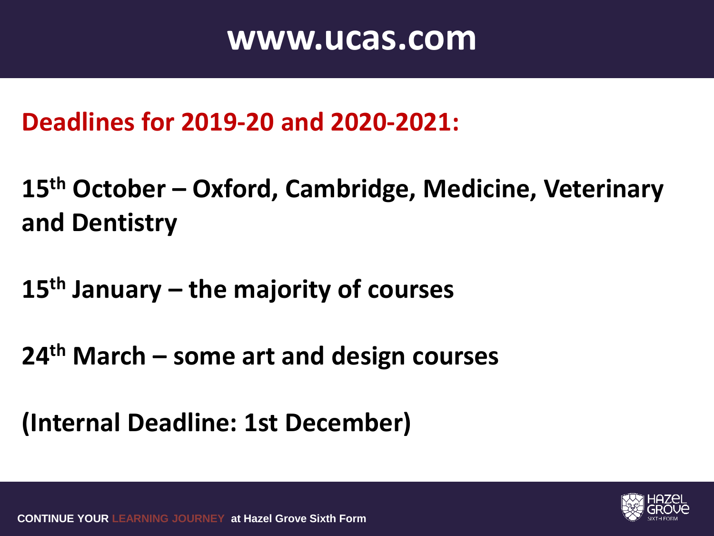#### **www.ucas.com**

**Deadlines for 2019-20 and 2020-2021:**

**15th October – Oxford, Cambridge, Medicine, Veterinary and Dentistry**

**15th January – the majority of courses**

**24th March – some art and design courses**

**(Internal Deadline: 1st December)**

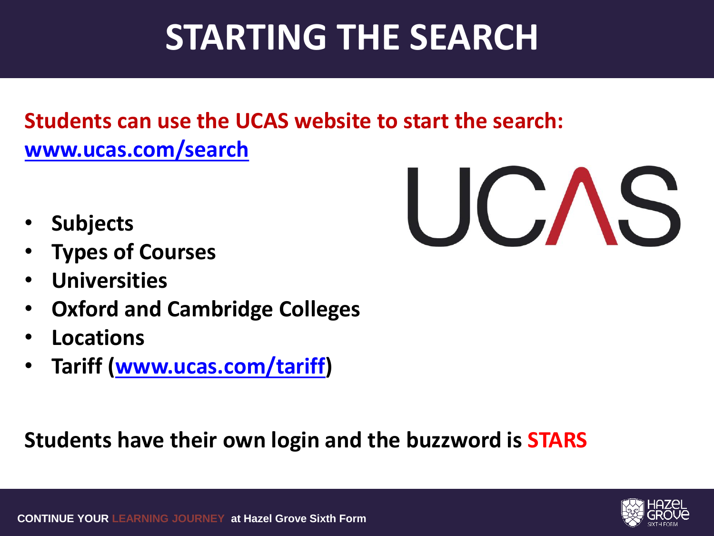### **STARTING THE SEARCH**

#### **Students can use the UCAS website to start the search: [www.ucas.com/search](http://www.ucas.com/search)**

- **Subjects**
- **Types of Courses**
- **Universities**
- **Oxford and Cambridge Colleges**
- **Locations**
- **Tariff [\(www.ucas.com/tariff](http://www.ucas.com/tariff))**

#### **Students have their own login and the buzzword is STARS**

UCAS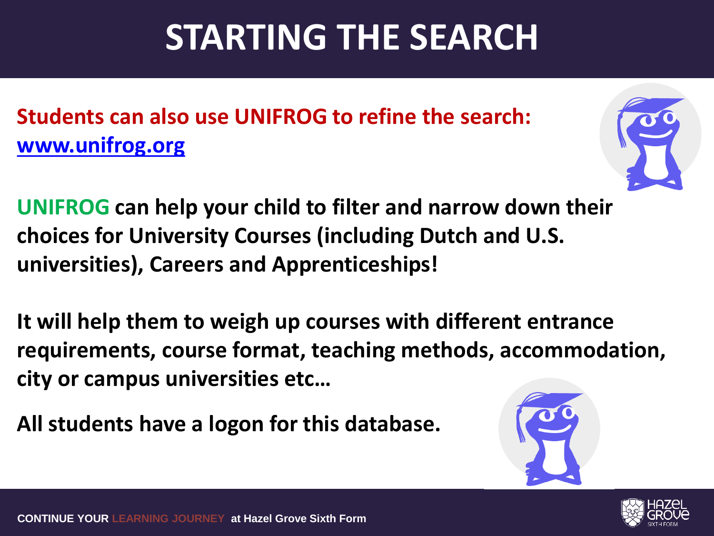### **STARTING THE SEARCH**

**Students can also use UNIFROG to refine the search: [www.unifrog.org](http://www.ucas.com/search)**

**UNIFROG can help your child to filter and narrow down their choices for University Courses (including Dutch and U.S. universities), Careers and Apprenticeships!**

**It will help them to weigh up courses with different entrance requirements, course format, teaching methods, accommodation, city or campus universities etc…**

**All students have a logon for this database.**







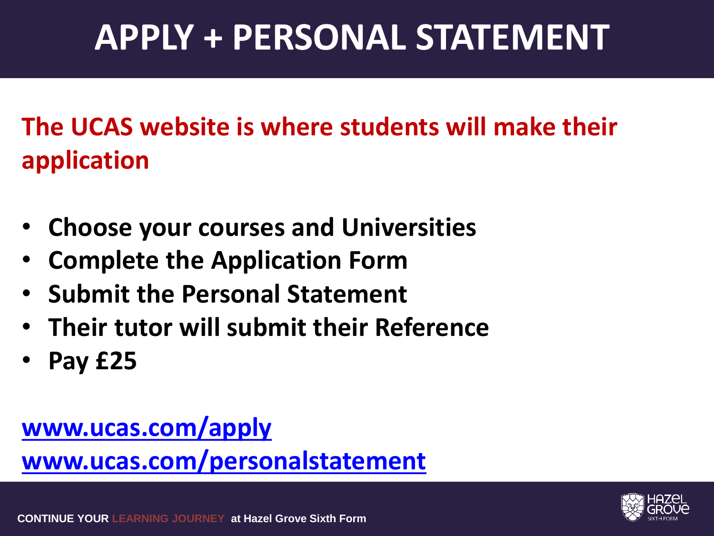### **APPLY + PERSONAL STATEMENT**

**The UCAS website is where students will make their application**

- **Choose your courses and Universities**
- **Complete the Application Form**
- **Submit the Personal Statement**
- **Their tutor will submit their Reference**
- **Pay £25**

#### **[www.ucas.com/apply](http://www.ucas.com/apply) [www.ucas.com/personalstatement](http://www.ucas.com/personalstatement)**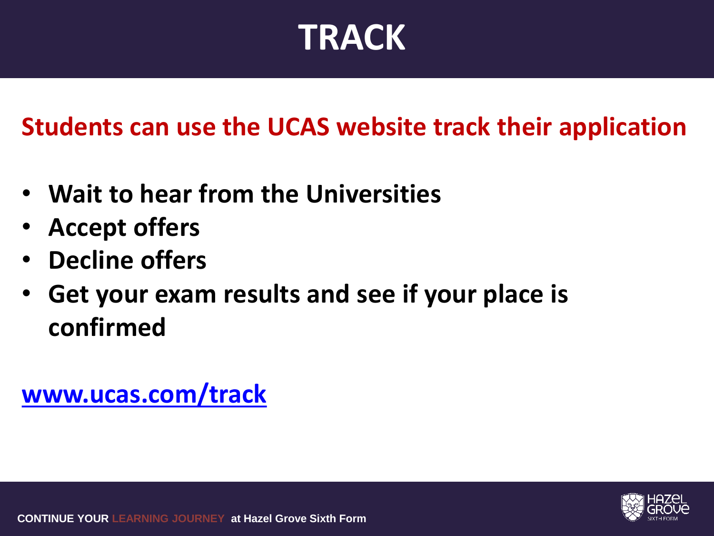### **TRACK**

**Students can use the UCAS website track their application**

- **Wait to hear from the Universities**
- **Accept offers**
- **Decline offers**
- **Get your exam results and see if your place is confirmed**

**[www.ucas.com/track](http://www.ucas.com/track)**

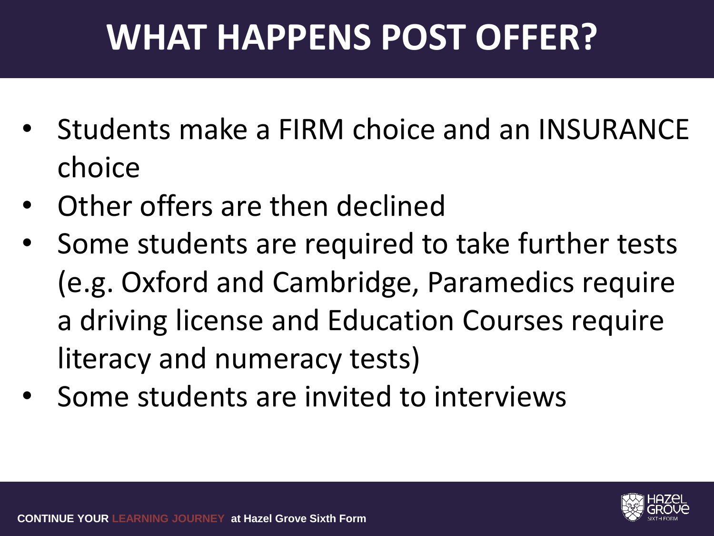## **WHAT HAPPENS POST OFFER?**

- Students make a FIRM choice and an INSURANCE choice
- Other offers are then declined
- Some students are required to take further tests (e.g. Oxford and Cambridge, Paramedics require a driving license and Education Courses require literacy and numeracy tests)
- Some students are invited to interviews

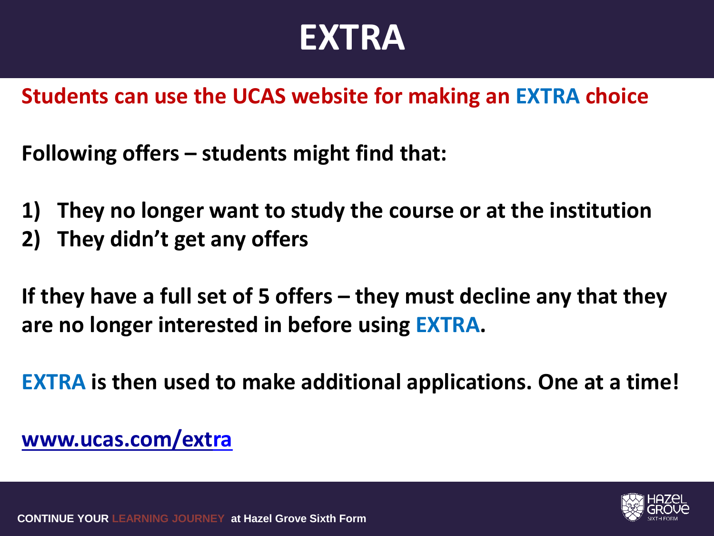#### **EXTRA**

**Students can use the UCAS website for making an EXTRA choice**

**Following offers – students might find that:**

- **1) They no longer want to study the course or at the institution**
- **2) They didn't get any offers**

**If they have a full set of 5 offers – they must decline any that they are no longer interested in before using EXTRA.**

**EXTRA is then used to make additional applications. One at a time!**

#### **www.ucas.com/ext[ra](http://www.ucas.come/extra)**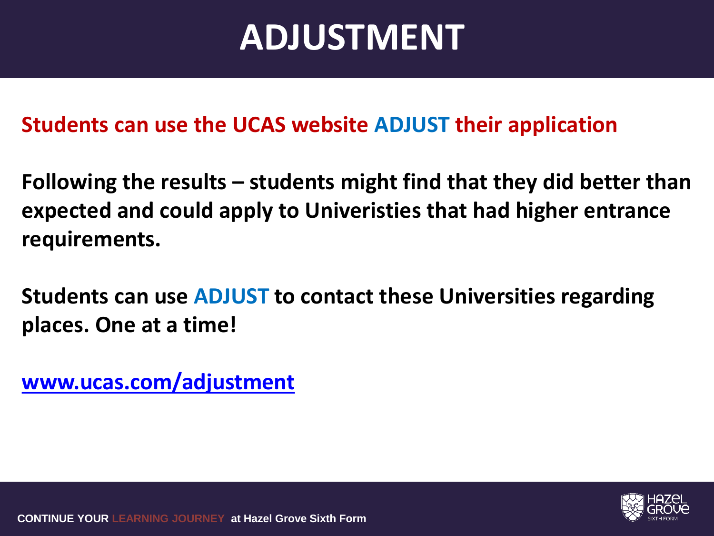#### **ADJUSTMENT**

#### **Students can use the UCAS website ADJUST their application**

**Following the results – students might find that they did better than expected and could apply to Univeristies that had higher entrance requirements.**

**Students can use ADJUST to contact these Universities regarding places. One at a time!** 

**[www.ucas.com/adjustment](http://www.ucas.com/adjustment)**

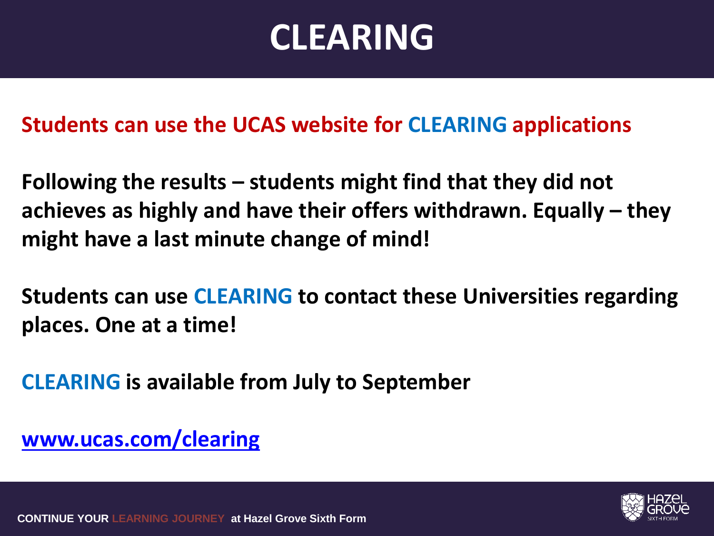### **CLEARING**

#### **Students can use the UCAS website for CLEARING applications**

**Following the results – students might find that they did not achieves as highly and have their offers withdrawn. Equally – they might have a last minute change of mind!** 

**Students can use CLEARING to contact these Universities regarding places. One at a time!** 

**CLEARING is available from July to September**

**[www.ucas.com/clearing](http://www.ucas.com/adjustment)**

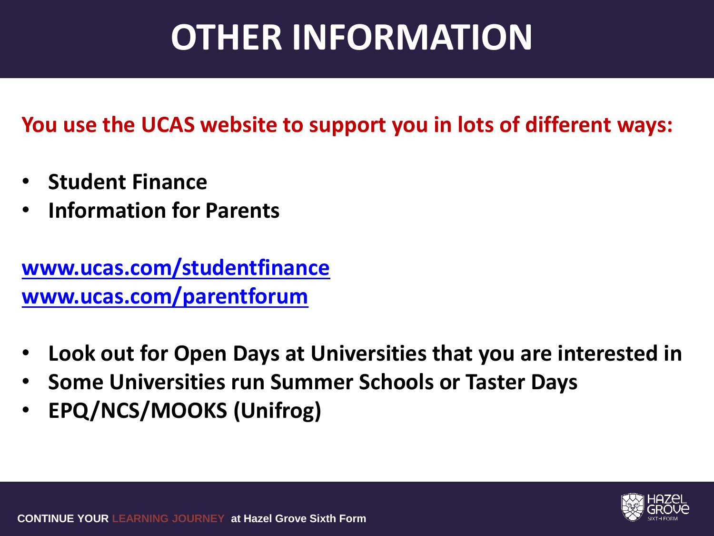## **OTHER INFORMATION**

#### **You use the UCAS website to support you in lots of different ways:**

- **Student Finance**
- **Information for Parents**

**[www.ucas.com/studentfinance](http://www.ucas.com/track) [www.ucas.com/parentforum](http://www.ucas.com/parentform)**

- **Look out for Open Days at Universities that you are interested in**
- **Some Universities run Summer Schools or Taster Days**
- **EPQ/NCS/MOOKS (Unifrog)**

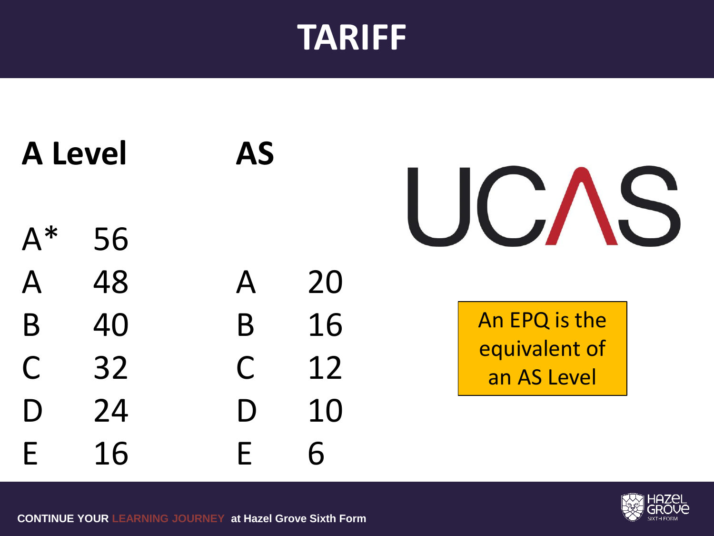#### **TARIFF**

**A Level AS**

A\* 56

A 48 A 20

B 40 B 16

C 32 C 12 D 24 D 10



An EPQ is the equivalent of an AS Level



E 16 E 6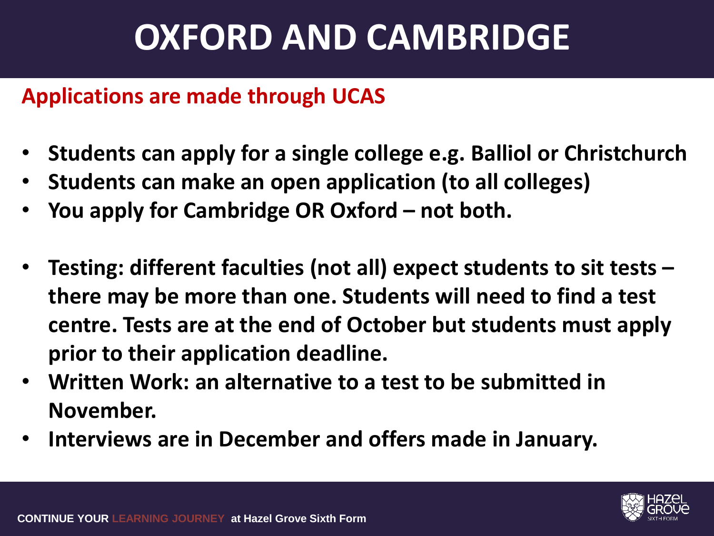### **OXFORD AND CAMBRIDGE**

#### **Applications are made through UCAS**

- **Students can apply for a single college e.g. Balliol or Christchurch**
- **Students can make an open application (to all colleges)**
- **You apply for Cambridge OR Oxford – not both.**
- **Testing: different faculties (not all) expect students to sit tests – there may be more than one. Students will need to find a test centre. Tests are at the end of October but students must apply prior to their application deadline.**
- **Written Work: an alternative to a test to be submitted in November.**
- **Interviews are in December and offers made in January.**

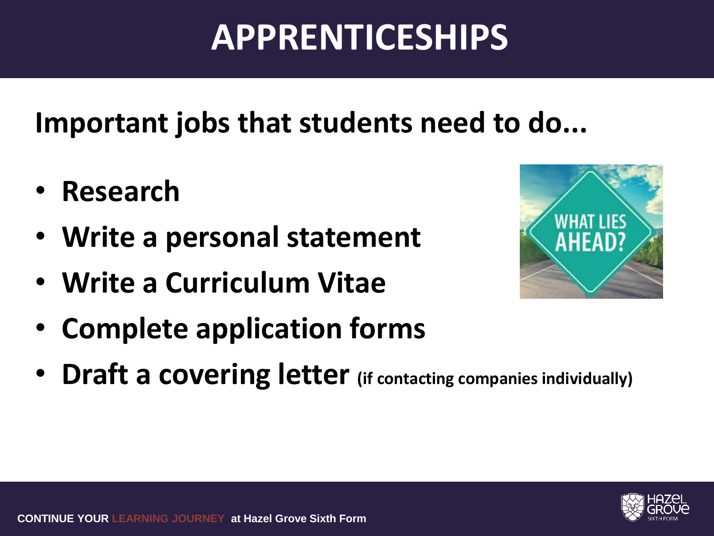## **APPRENTICESHIPS**

**Important jobs that students need to do...**

- **Research**
- **Write a personal statement**
- **Write a Curriculum Vitae**
- **Complete application forms**
- **Draft a covering letter (if contacting companies individually)**



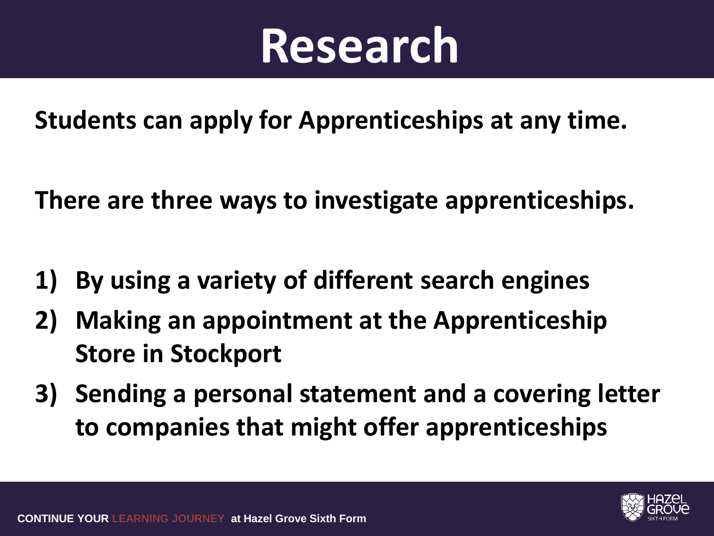# **Research**

**Students can apply for Apprenticeships at any time.**

**There are three ways to investigate apprenticeships.**

- **1) By using a variety of different search engines**
- **2) Making an appointment at the Apprenticeship Store in Stockport**
- **3) Sending a personal statement and a covering letter to companies that might offer apprenticeships**

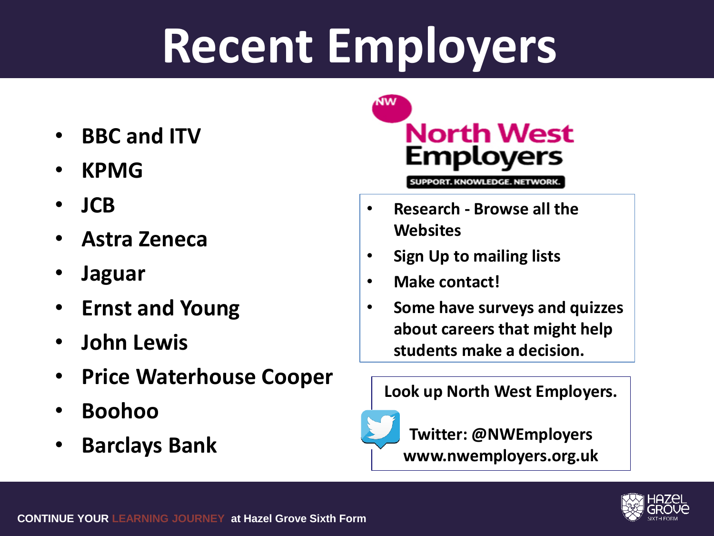# **Recent Employers**

- **BBC and ITV**
- **KPMG**
- **JCB**
- **Astra Zeneca**
- **Jaguar**
- **Ernst and Young**
- **John Lewis**
- **Price Waterhouse Cooper**
- **Boohoo**
- **Barclays Bank**



SUPPORT. KNOWLEDGE. NETWORK.

- **Research - Browse all the Websites**
- **Sign Up to mailing lists**
- **Make contact!**
- **Some have surveys and quizzes about careers that might help students make a decision.**

#### **Look up North West Employers.**



**Twitter: @NWEmployers**

**www.nwemployers.org.uk**

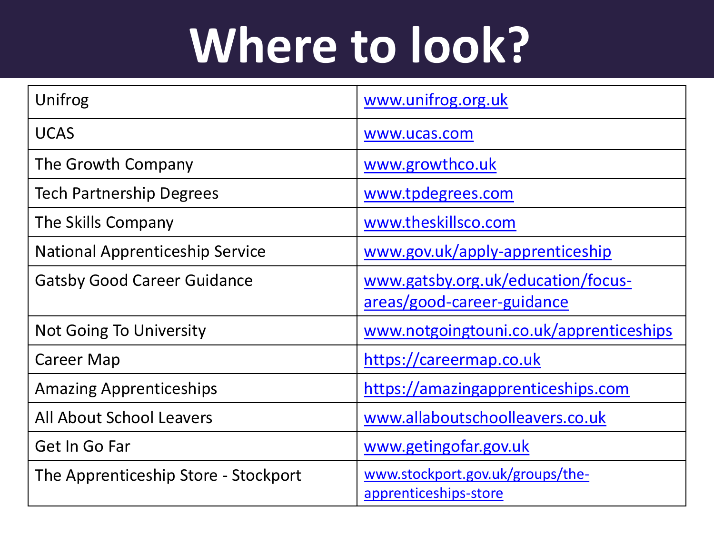# **Where to look?**

| Unifrog                                | www.unifrog.org.uk                                               |
|----------------------------------------|------------------------------------------------------------------|
| <b>UCAS</b>                            | www.ucas.com                                                     |
| The Growth Company                     | www.growthco.uk                                                  |
| <b>Tech Partnership Degrees</b>        | www.tpdegrees.com                                                |
| The Skills Company                     | www.theskillsco.com                                              |
| <b>National Apprenticeship Service</b> | www.gov.uk/apply-apprenticeship                                  |
| <b>Gatsby Good Career Guidance</b>     | www.gatsby.org.uk/education/focus-<br>areas/good-career-guidance |
| <b>Not Going To University</b>         | www.notgoingtouni.co.uk/apprenticeships                          |
| Career Map                             | https://careermap.co.uk                                          |
| <b>Amazing Apprenticeships</b>         | https://amazingapprenticeships.com                               |
| All About School Leavers               | www.allaboutschoolleavers.co.uk                                  |
| Get In Go Far                          | www.getingofar.gov.uk                                            |
| The Apprenticeship Store - Stockport   | www.stockport.gov.uk/groups/the-<br>apprenticeships-store        |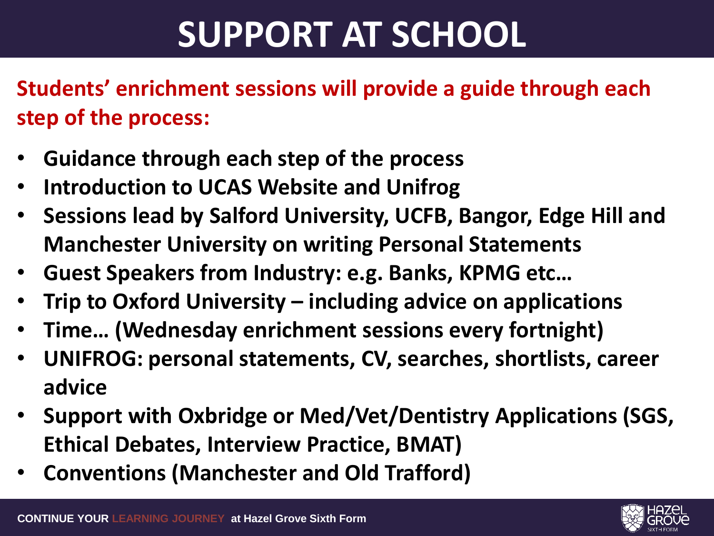### **SUPPORT AT SCHOOL**

**Students' enrichment sessions will provide a guide through each step of the process:**

- **Guidance through each step of the process**
- **Introduction to UCAS Website and Unifrog**
- **Sessions lead by Salford University, UCFB, Bangor, Edge Hill and Manchester University on writing Personal Statements**
- **Guest Speakers from Industry: e.g. Banks, KPMG etc…**
- **Trip to Oxford University – including advice on applications**
- **Time… (Wednesday enrichment sessions every fortnight)**
- **UNIFROG: personal statements, CV, searches, shortlists, career advice**
- **Support with Oxbridge or Med/Vet/Dentistry Applications (SGS, Ethical Debates, Interview Practice, BMAT)**
- **Conventions (Manchester and Old Trafford)**

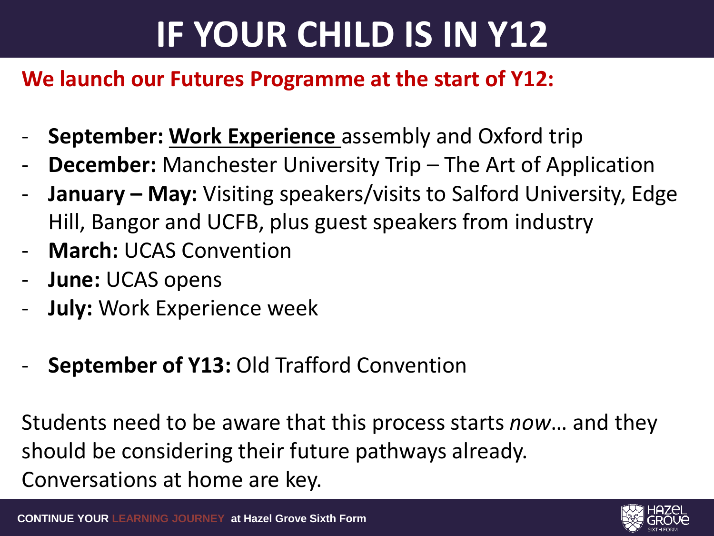## **IF YOUR CHILD IS IN Y12**

#### **We launch our Futures Programme at the start of Y12:**

- **September: Work Experience** assembly and Oxford trip
- **December:** Manchester University Trip The Art of Application
- **January May:** Visiting speakers/visits to Salford University, Edge Hill, Bangor and UCFB, plus guest speakers from industry
- **March:** UCAS Convention
- **June: UCAS opens**
- **July: Work Experience week**
- September of Y13: Old Trafford Convention

Students need to be aware that this process starts *now*… and they should be considering their future pathways already. Conversations at home are key.